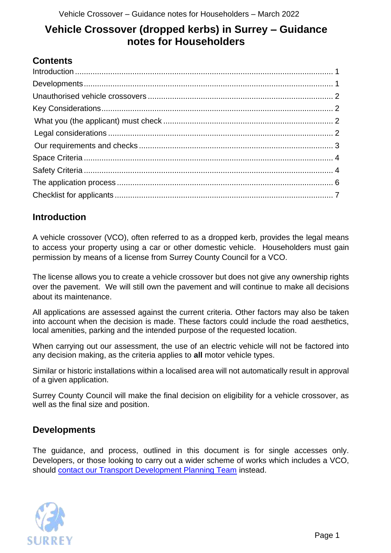# **Vehicle Crossover (dropped kerbs) in Surrey – Guidance notes for Householders**

# **Contents**

## <span id="page-0-0"></span>**Introduction**

A vehicle crossover (VCO), often referred to as a dropped kerb, provides the legal means to access your property using a car or other domestic vehicle. Householders must gain permission by means of a license from Surrey County Council for a VCO.

The license allows you to create a vehicle crossover but does not give any ownership rights over the pavement. We will still own the pavement and will continue to make all decisions about its maintenance.

All applications are assessed against the current criteria. Other factors may also be taken into account when the decision is made. These factors could include the road aesthetics, local amenities, parking and the intended purpose of the requested location.

When carrying out our assessment, the use of an electric vehicle will not be factored into any decision making, as the criteria applies to **all** motor vehicle types.

Similar or historic installations within a localised area will not automatically result in approval of a given application.

Surrey County Council will make the final decision on eligibility for a vehicle crossover, as well as the final size and position.

### <span id="page-0-1"></span>**Developments**

The guidance, and process, outlined in this document is for single accesses only. Developers, or those looking to carry out a wider scheme of works which includes a VCO, should [contact our Transport Development Planning Team](https://www.surreycc.gov.uk/land-planning-and-development/planning/transport-development/) instead.

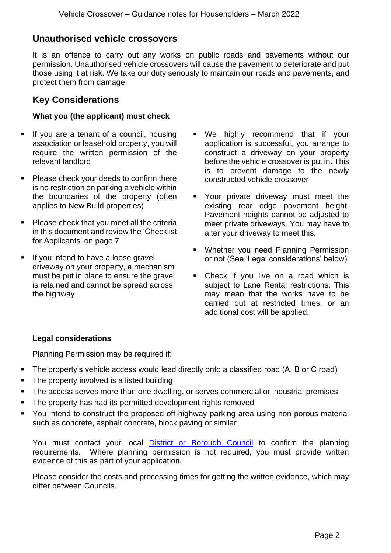### <span id="page-1-0"></span>**Unauthorised vehicle crossovers**

It is an offence to carry out any works on public roads and pavements without our permission. Unauthorised vehicle crossovers will cause the pavement to deteriorate and put those using it at risk. We take our duty seriously to maintain our roads and pavements, and protect them from damage.

### <span id="page-1-1"></span>**Key Considerations**

#### <span id="page-1-2"></span>**What you (the applicant) must check**

- If you are a tenant of a council, housing association or leasehold property, you will require the written permission of the relevant landlord
- Please check your deeds to confirm there is no restriction on parking a vehicle within the boundaries of the property (often applies to New Build properties)
- Please check that you meet all the criteria in this document and review the 'Checklist for Applicants' on page 7
- If you intend to have a loose gravel driveway on your property, a mechanism must be put in place to ensure the gravel is retained and cannot be spread across the highway
- We highly recommend that if your application is successful, you arrange to construct a driveway on your property before the vehicle crossover is put in. This is to prevent damage to the newly constructed vehicle crossover
- Your private driveway must meet the existing rear edge pavement height. Pavement heights cannot be adjusted to meet private driveways. You may have to alter your driveway to meet this.
- Whether you need Planning Permission or not (See 'Legal considerations' below)
- Check if you live on a road which is subject to Lane Rental restrictions. This may mean that the works have to be carried out at restricted times, or an additional cost will be applied.

#### <span id="page-1-3"></span>**Legal considerations**

Planning Permission may be required if:

- The property's vehicle access would lead directly onto a classified road (A, B or C road)
- The property involved is a listed building
- The access serves more than one dwelling, or serves commercial or industrial premises
- **·** The property has had its permitted development rights removed
- You intend to construct the proposed off-highway parking area using non porous material such as concrete, asphalt concrete, block paving or similar

You must contact your local [District or Borough Council](https://www.surreycc.gov.uk/your-council/borough-and-district-council-responsibilities) to confirm the planning requirements. Where planning permission is not required, you must provide written evidence of this as part of your application.

Please consider the costs and processing times for getting the written evidence, which may differ between Councils.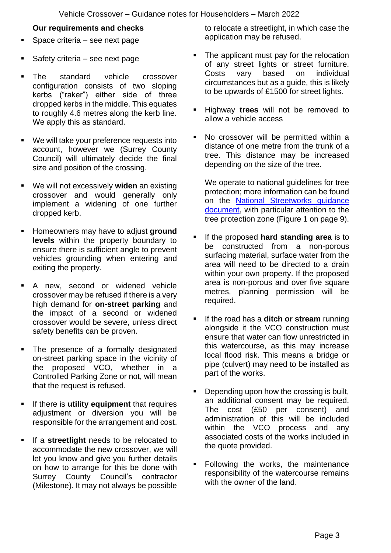#### **Our requirements and checks**

- <span id="page-2-0"></span>Space criteria – see next page
- Safety criteria  $-$  see next page
- The standard vehicle crossover configuration consists of two sloping kerbs ("raker") either side of three dropped kerbs in the middle. This equates to roughly 4.6 metres along the kerb line. We apply this as standard.
- We will take your preference requests into account, however we (Surrey County Council) will ultimately decide the final size and position of the crossing.
- We will not excessively **widen** an existing crossover and would generally only implement a widening of one further dropped kerb.
- Homeowners may have to adjust **ground levels** within the property boundary to ensure there is sufficient angle to prevent vehicles grounding when entering and exiting the property.
- A new, second or widened vehicle crossover may be refused if there is a very high demand for **on-street parking** and the impact of a second or widened crossover would be severe, unless direct safety benefits can be proven.
- The presence of a formally designated on-street parking space in the vicinity of the proposed VCO, whether in a Controlled Parking Zone or not, will mean that the request is refused.
- If there is **utility equipment** that requires adjustment or diversion you will be responsible for the arrangement and cost.
- If a **streetlight** needs to be relocated to accommodate the new crossover, we will let you know and give you further details on how to arrange for this be done with Surrey County Council's contractor (Milestone). It may not always be possible

to relocate a streetlight, in which case the application may be refused.

- The applicant must pay for the relocation of any street lights or street furniture. Costs vary based on individual circumstances but as a guide, this is likely to be upwards of £1500 for street lights.
- Highway **trees** will not be removed to allow a vehicle access
- No crossover will be permitted within a distance of one metre from the trunk of a tree. This distance may be increased depending on the size of the tree.

We operate to national guidelines for tree protection; more information can be found on the [National Streetworks guidance](http://streetworks.org.uk/wp-content/uploads/2016/09/V4-Trees-Issue-2-16-11-2007.pdf)  [document,](http://streetworks.org.uk/wp-content/uploads/2016/09/V4-Trees-Issue-2-16-11-2007.pdf) with particular attention to the tree protection zone (Figure 1 on page 9).

- If the proposed hard standing area is to be constructed from a non-porous surfacing material, surface water from the area will need to be directed to a drain within your own property. If the proposed area is non-porous and over five square metres, planning permission will be required.
- If the road has a **ditch or stream** running alongside it the VCO construction must ensure that water can flow unrestricted in this watercourse, as this may increase local flood risk. This means a bridge or pipe (culvert) may need to be installed as part of the works.
- Depending upon how the crossing is built, an additional consent may be required. The cost (£50 per consent) and administration of this will be included within the VCO process and any associated costs of the works included in the quote provided.
- Following the works, the maintenance responsibility of the watercourse remains with the owner of the land.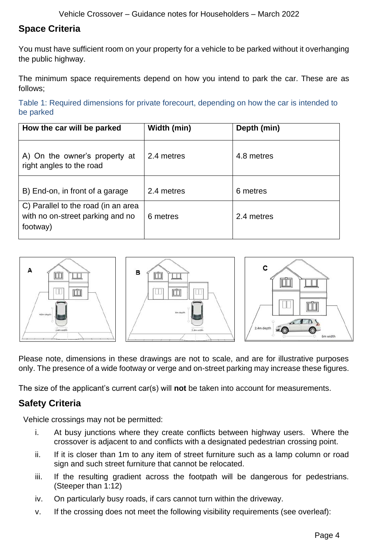# <span id="page-3-0"></span>**Space Criteria**

You must have sufficient room on your property for a vehicle to be parked without it overhanging the public highway.

The minimum space requirements depend on how you intend to park the car. These are as follows;

Table 1: Required dimensions for private forecourt, depending on how the car is intended to be parked

| How the car will be parked                                                          | Width (min) | Depth (min) |
|-------------------------------------------------------------------------------------|-------------|-------------|
| A) On the owner's property at<br>right angles to the road                           | 2.4 metres  | 4.8 metres  |
| B) End-on, in front of a garage                                                     | 2.4 metres  | 6 metres    |
| C) Parallel to the road (in an area<br>with no on-street parking and no<br>footway) | 6 metres    | 2.4 metres  |



Please note, dimensions in these drawings are not to scale, and are for illustrative purposes only. The presence of a wide footway or verge and on-street parking may increase these figures.

The size of the applicant's current car(s) will **not** be taken into account for measurements.

# <span id="page-3-1"></span>**Safety Criteria**

Vehicle crossings may not be permitted:

- i. At busy junctions where they create conflicts between highway users. Where the crossover is adjacent to and conflicts with a designated pedestrian crossing point.
- ii. If it is closer than 1m to any item of street furniture such as a lamp column or road sign and such street furniture that cannot be relocated.
- iii. If the resulting gradient across the footpath will be dangerous for pedestrians. (Steeper than 1:12)
- iv. On particularly busy roads, if cars cannot turn within the driveway.
- v. If the crossing does not meet the following visibility requirements (see overleaf):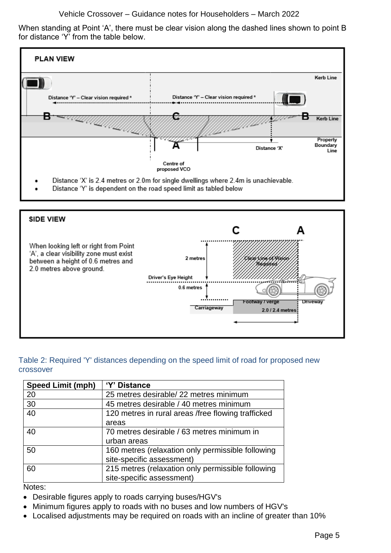Vehicle Crossover – Guidance notes for Householders – March 2022

When standing at Point 'A', there must be clear vision along the dashed lines shown to point B for distance 'Y' from the table below.





#### Table 2: Required 'Y' distances depending on the speed limit of road for proposed new crossover

| <b>Speed Limit (mph)</b> | 'Y' Distance                                       |
|--------------------------|----------------------------------------------------|
| 20                       | 25 metres desirable/ 22 metres minimum             |
| 30                       | 45 metres desirable / 40 metres minimum            |
| 40                       | 120 metres in rural areas /free flowing trafficked |
|                          | areas                                              |
| 40                       | 70 metres desirable / 63 metres minimum in         |
|                          | urban areas                                        |
| 50                       | 160 metres (relaxation only permissible following  |
|                          | site-specific assessment)                          |
| 60                       | 215 metres (relaxation only permissible following  |
|                          | site-specific assessment)                          |

Notes:

- Desirable figures apply to roads carrying buses/HGV's
- Minimum figures apply to roads with no buses and low numbers of HGV's
- Localised adjustments may be required on roads with an incline of greater than 10%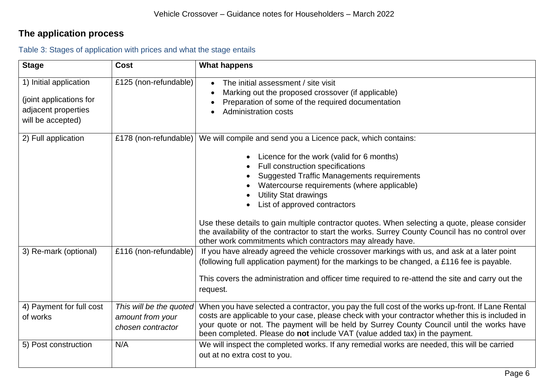# **The application process**

<span id="page-5-0"></span>

| <b>Stage</b>                                                                                  | Cost                                                             | <b>What happens</b>                                                                                                                                                                                                                                                                                                                                                                                                                                                                                                                                                                               |
|-----------------------------------------------------------------------------------------------|------------------------------------------------------------------|---------------------------------------------------------------------------------------------------------------------------------------------------------------------------------------------------------------------------------------------------------------------------------------------------------------------------------------------------------------------------------------------------------------------------------------------------------------------------------------------------------------------------------------------------------------------------------------------------|
| 1) Initial application<br>(joint applications for<br>adjacent properties<br>will be accepted) | £125 (non-refundable)                                            | The initial assessment / site visit<br>Marking out the proposed crossover (if applicable)<br>Preparation of some of the required documentation<br><b>Administration costs</b>                                                                                                                                                                                                                                                                                                                                                                                                                     |
| 2) Full application                                                                           | £178 (non-refundable)                                            | We will compile and send you a Licence pack, which contains:<br>Licence for the work (valid for 6 months)<br>$\bullet$<br>Full construction specifications<br><b>Suggested Traffic Managements requirements</b><br>Watercourse requirements (where applicable)<br><b>Utility Stat drawings</b><br>List of approved contractors<br>Use these details to gain multiple contractor quotes. When selecting a quote, please consider<br>the availability of the contractor to start the works. Surrey County Council has no control over<br>other work commitments which contractors may already have. |
| 3) Re-mark (optional)                                                                         | £116 (non-refundable)                                            | If you have already agreed the vehicle crossover markings with us, and ask at a later point<br>(following full application payment) for the markings to be changed, a £116 fee is payable.<br>This covers the administration and officer time required to re-attend the site and carry out the<br>request.                                                                                                                                                                                                                                                                                        |
| 4) Payment for full cost<br>of works                                                          | This will be the quoted<br>amount from your<br>chosen contractor | When you have selected a contractor, you pay the full cost of the works up-front. If Lane Rental<br>costs are applicable to your case, please check with your contractor whether this is included in<br>your quote or not. The payment will be held by Surrey County Council until the works have<br>been completed. Please do not include VAT (value added tax) in the payment.                                                                                                                                                                                                                  |
| 5) Post construction                                                                          | N/A                                                              | We will inspect the completed works. If any remedial works are needed, this will be carried<br>out at no extra cost to you.                                                                                                                                                                                                                                                                                                                                                                                                                                                                       |